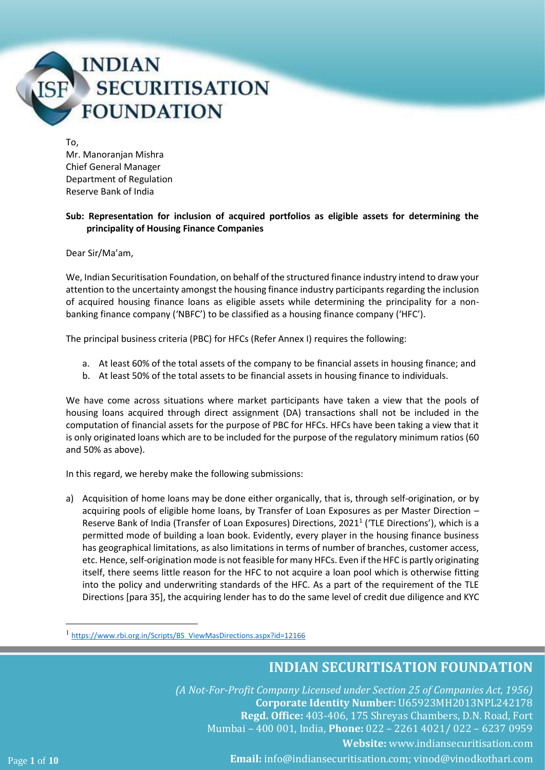

To,

Mr. Manoranjan Mishra Chief General Manager Department of Regulation Reserve Bank of India

### **Sub: Representation for inclusion of acquired portfolios as eligible assets for determining the principality of Housing Finance Companies**

Dear Sir/Ma'am,

We, Indian Securitisation Foundation, on behalf of the structured finance industry intend to draw your attention to the uncertainty amongst the housing finance industry participants regarding the inclusion of acquired housing finance loans as eligible assets while determining the principality for a nonbanking finance company ('NBFC') to be classified as a housing finance company ('HFC').

The principal business criteria (PBC) for HFCs (Refer Annex I) requires the following:

- a. At least 60% of the total assets of the company to be financial assets in housing finance; and
- b. At least 50% of the total assets to be financial assets in housing finance to individuals.

We have come across situations where market participants have taken a view that the pools of housing loans acquired through direct assignment (DA) transactions shall not be included in the computation of financial assets for the purpose of PBC for HFCs. HFCs have been taking a view that it is only originated loans which are to be included for the purpose of the regulatory minimum ratios (60 and 50% as above).

In this regard, we hereby make the following submissions:

a) Acquisition of home loans may be done either organically, that is, through self-origination, or by acquiring pools of eligible home loans, by Transfer of Loan Exposures as per Master Direction – Reserve Bank of India (Transfer of Loan Exposures) Directions, 2021<sup>1</sup> ('TLE Directions'), which is a permitted mode of building a loan book. Evidently, every player in the housing finance business has geographical limitations, as also limitations in terms of number of branches, customer access, etc. Hence, self-origination mode is not feasible for many HFCs. Even if the HFC is partly originating itself, there seems little reason for the HFC to not acquire a loan pool which is otherwise fitting into the policy and underwriting standards of the HFC. As a part of the requirement of the TLE Directions [para 35], the acquiring lender has to do the same level of credit due diligence and KYC

### **INDIAN SECURITISATION FOUNDATION**

*(A Not-For-Profit Company Licensed under Section 25 of Companies Act, 1956)*  **Corporate Identity Number:** U65923MH2013NPL242178 **Regd. Office:** 403-406, 175 Shreyas Chambers, D.N. Road, Fort Mumbai – 400 001, India, **Phone:** 022 – 2261 4021/ 022 – 6237 0959 **Website:** [www.indiansecuritisation.com](http://www.indiansecuritisation.com/) Page **1** of **10 Email:** info@indiansecuritisation.com; [vinod@vinodkothari.com](mailto:vinod@vinodkothari.com)

<sup>1</sup> [https://www.rbi.org.in/Scripts/BS\\_ViewMasDirections.aspx?id=12166](https://www.rbi.org.in/Scripts/BS_ViewMasDirections.aspx?id=12166)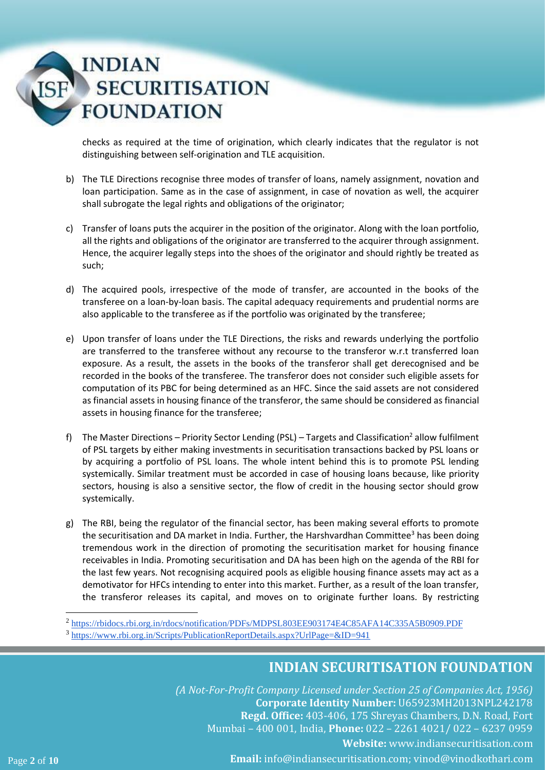# **INDIAN SECURITISATION FOUNDATION**

checks as required at the time of origination, which clearly indicates that the regulator is not distinguishing between self-origination and TLE acquisition.

- b) The TLE Directions recognise three modes of transfer of loans, namely assignment, novation and loan participation. Same as in the case of assignment, in case of novation as well, the acquirer shall subrogate the legal rights and obligations of the originator;
- c) Transfer of loans puts the acquirer in the position of the originator. Along with the loan portfolio, all the rights and obligations of the originator are transferred to the acquirer through assignment. Hence, the acquirer legally steps into the shoes of the originator and should rightly be treated as such;
- d) The acquired pools, irrespective of the mode of transfer, are accounted in the books of the transferee on a loan-by-loan basis. The capital adequacy requirements and prudential norms are also applicable to the transferee as if the portfolio was originated by the transferee;
- e) Upon transfer of loans under the TLE Directions, the risks and rewards underlying the portfolio are transferred to the transferee without any recourse to the transferor w.r.t transferred loan exposure. As a result, the assets in the books of the transferor shall get derecognised and be recorded in the books of the transferee. The transferor does not consider such eligible assets for computation of its PBC for being determined as an HFC. Since the said assets are not considered as financial assets in housing finance of the transferor, the same should be considered as financial assets in housing finance for the transferee;
- f) The Master Directions Priority Sector Lending (PSL) Targets and Classification<sup>2</sup> allow fulfilment of PSL targets by either making investments in securitisation transactions backed by PSL loans or by acquiring a portfolio of PSL loans. The whole intent behind this is to promote PSL lending systemically. Similar treatment must be accorded in case of housing loans because, like priority sectors, housing is also a sensitive sector, the flow of credit in the housing sector should grow systemically.
- g) The RBI, being the regulator of the financial sector, has been making several efforts to promote the securitisation and DA market in India. Further, the Harshvardhan Committee<sup>3</sup> has been doing tremendous work in the direction of promoting the securitisation market for housing finance receivables in India. Promoting securitisation and DA has been high on the agenda of the RBI for the last few years. Not recognising acquired pools as eligible housing finance assets may act as a demotivator for HFCs intending to enter into this market. Further, as a result of the loan transfer, the transferor releases its capital, and moves on to originate further loans. By restricting

<sup>2</sup> <https://rbidocs.rbi.org.in/rdocs/notification/PDFs/MDPSL803EE903174E4C85AFA14C335A5B0909.PDF>

## **INDIAN SECURITISATION FOUNDATION**

*(A Not-For-Profit Company Licensed under Section 25 of Companies Act, 1956)*  **Corporate Identity Number:** U65923MH2013NPL242178 **Regd. Office:** 403-406, 175 Shreyas Chambers, D.N. Road, Fort Mumbai – 400 001, India, **Phone:** 022 – 2261 4021/ 022 – 6237 0959 **Website:** [www.indiansecuritisation.com](http://www.indiansecuritisation.com/) Page **2** of **10 Email:** info@indiansecuritisation.com; [vinod@vinodkothari.com](mailto:vinod@vinodkothari.com)

<sup>3</sup> <https://www.rbi.org.in/Scripts/PublicationReportDetails.aspx?UrlPage=&ID=941>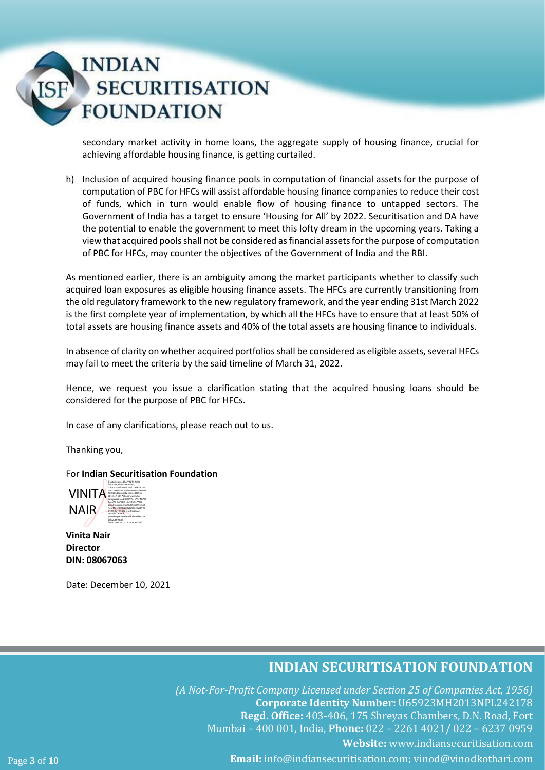# **INDIAN SECURITISATION FOUNDATION**

secondary market activity in home loans, the aggregate supply of housing finance, crucial for achieving affordable housing finance, is getting curtailed.

h) Inclusion of acquired housing finance pools in computation of financial assets for the purpose of computation of PBC for HFCs will assist affordable housing finance companies to reduce their cost of funds, which in turn would enable flow of housing finance to untapped sectors. The Government of India has a target to ensure 'Housing for All' by 2022. Securitisation and DA have the potential to enable the government to meet this lofty dream in the upcoming years. Taking a view that acquired pools shall not be considered as financial assets for the purpose of computation of PBC for HFCs, may counter the objectives of the Government of India and the RBI.

As mentioned earlier, there is an ambiguity among the market participants whether to classify such acquired loan exposures as eligible housing finance assets. The HFCs are currently transitioning from the old regulatory framework to the new regulatory framework, and the year ending 31st March 2022 is the first complete year of implementation, by which all the HFCs have to ensure that at least 50% of total assets are housing finance assets and 40% of the total assets are housing finance to individuals.

In absence of clarity on whether acquired portfolios shall be considered as eligible assets, several HFCs may fail to meet the criteria by the said timeline of March 31, 2022.

Hence, we request you issue a clarification stating that the acquired housing loans should be considered for the purpose of PBC for HFCs.

In case of any clarifications, please reach out to us.

Thanking you,

For **Indian Securitisation Foundation**



**Vinita Nair Director DIN: 08067063**

Date: December 10, 2021

### **INDIAN SECURITISATION FOUNDATION**

*(A Not-For-Profit Company Licensed under Section 25 of Companies Act, 1956)*  **Corporate Identity Number:** U65923MH2013NPL242178 **Regd. Office:** 403-406, 175 Shreyas Chambers, D.N. Road, Fort Mumbai – 400 001, India, **Phone:** 022 – 2261 4021/ 022 – 6237 0959 **Website:** [www.indiansecuritisation.com](http://www.indiansecuritisation.com/) Page **3** of **10 Email:** info@indiansecuritisation.com; [vinod@vinodkothari.com](mailto:vinod@vinodkothari.com)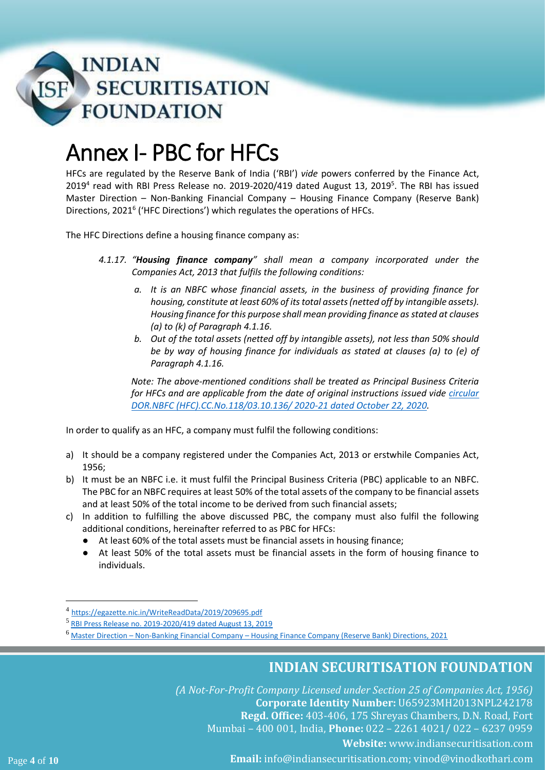

# Annex I- PBC for HFCs

HFCs are regulated by the Reserve Bank of India ('RBI') *vide* powers conferred by the Finance Act, 2019<sup>4</sup> read with RBI Press Release no. 2019-2020/419 dated August 13, 2019<sup>5</sup>. The RBI has issued Master Direction – Non-Banking Financial Company – Housing Finance Company (Reserve Bank) Directions, 2021<sup>6</sup> ('HFC Directions') which regulates the operations of HFCs.

The HFC Directions define a housing finance company as:

- *4.1.17. "Housing finance company" shall mean a company incorporated under the Companies Act, 2013 that fulfils the following conditions:* 
	- *a. It is an NBFC whose financial assets, in the business of providing finance for housing, constitute at least 60% of its total assets (netted off by intangible assets). Housing finance for this purpose shall mean providing finance as stated at clauses (a) to (k) of Paragraph 4.1.16.*
	- *b. Out of the total assets (netted off by intangible assets), not less than 50% should be by way of housing finance for individuals as stated at clauses (a) to (e) of Paragraph 4.1.16.*

*Note: The above-mentioned conditions shall be treated as Principal Business Criteria for HFCs and are applicable from the date of original instructions issued vide [circular](https://www.rbi.org.in/Scripts/NotificationUser.aspx?Id=11988&Mode=0)  [DOR.NBFC \(HFC\).CC.No.118/03.10.136/ 2020-21 dated October 22, 2020.](https://www.rbi.org.in/Scripts/NotificationUser.aspx?Id=11988&Mode=0)*

In order to qualify as an HFC, a company must fulfil the following conditions:

- a) It should be a company registered under the Companies Act, 2013 or erstwhile Companies Act, 1956;
- b) It must be an NBFC i.e. it must fulfil the Principal Business Criteria (PBC) applicable to an NBFC. The PBC for an NBFC requires at least 50% of the total assets of the company to be financial assets and at least 50% of the total income to be derived from such financial assets;
- c) In addition to fulfilling the above discussed PBC, the company must also fulfil the following additional conditions, hereinafter referred to as PBC for HFCs:
	- At least 60% of the total assets must be financial assets in housing finance;
	- At least 50% of the total assets must be financial assets in the form of housing finance to individuals.

## **INDIAN SECURITISATION FOUNDATION**

*(A Not-For-Profit Company Licensed under Section 25 of Companies Act, 1956)*  **Corporate Identity Number:** U65923MH2013NPL242178 **Regd. Office:** 403-406, 175 Shreyas Chambers, D.N. Road, Fort Mumbai – 400 001, India, **Phone:** 022 – 2261 4021/ 022 – 6237 0959 **Website:** [www.indiansecuritisation.com](http://www.indiansecuritisation.com/) Page **4** of **10 Email:** info@indiansecuritisation.com; [vinod@vinodkothari.com](mailto:vinod@vinodkothari.com)

<sup>4</sup> <https://egazette.nic.in/WriteReadData/2019/209695.pdf>

<sup>5</sup> [RBI Press Release no. 2019-2020/419 dated August 13, 2019](https://www.rbi.org.in/Scripts/BS_PressReleaseDisplay.aspx?prid=47871)

<sup>6</sup> Master Direction – Non-Banking Financial Company – [Housing Finance Company \(Reserve Bank\) Directions, 2021](https://rbidocs.rbi.org.in/rdocs/notification/PDFs/MD10007CE48ADE2FB4BF981444FE1349E3B71.PDF)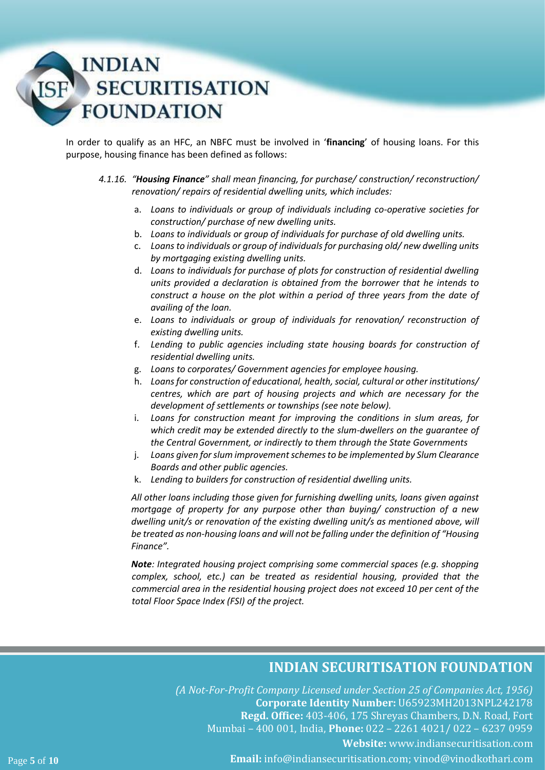

In order to qualify as an HFC, an NBFC must be involved in '**financing**' of housing loans. For this purpose, housing finance has been defined as follows:

### *4.1.16. "Housing Finance" shall mean financing, for purchase/ construction/ reconstruction/ renovation/ repairs of residential dwelling units, which includes:*

- a. *Loans to individuals or group of individuals including co-operative societies for construction/ purchase of new dwelling units.*
- b. *Loans to individuals or group of individuals for purchase of old dwelling units.*
- c. *Loans to individuals or group of individuals for purchasing old/ new dwelling units by mortgaging existing dwelling units.*
- d. *Loans to individuals for purchase of plots for construction of residential dwelling units provided a declaration is obtained from the borrower that he intends to construct a house on the plot within a period of three years from the date of availing of the loan.*
- e. *Loans to individuals or group of individuals for renovation/ reconstruction of existing dwelling units.*
- f. *Lending to public agencies including state housing boards for construction of residential dwelling units.*
- g. *Loans to corporates/ Government agencies for employee housing.*
- h. *Loans for construction of educational, health, social, cultural or other institutions/ centres, which are part of housing projects and which are necessary for the development of settlements or townships (see note below).*
- i. *Loans for construction meant for improving the conditions in slum areas, for which credit may be extended directly to the slum-dwellers on the guarantee of the Central Government, or indirectly to them through the State Governments*
- j. *Loans given for slum improvement schemes to be implemented by Slum Clearance Boards and other public agencies.*
- k. *Lending to builders for construction of residential dwelling units.*

*All other loans including those given for furnishing dwelling units, loans given against mortgage of property for any purpose other than buying/ construction of a new dwelling unit/s or renovation of the existing dwelling unit/s as mentioned above, will be treated as non-housing loans and will not be falling under the definition of "Housing Finance".*

*Note: Integrated housing project comprising some commercial spaces (e.g. shopping complex, school, etc.) can be treated as residential housing, provided that the commercial area in the residential housing project does not exceed 10 per cent of the total Floor Space Index (FSI) of the project.*

### **INDIAN SECURITISATION FOUNDATION**

*(A Not-For-Profit Company Licensed under Section 25 of Companies Act, 1956)*  **Corporate Identity Number:** U65923MH2013NPL242178 **Regd. Office:** 403-406, 175 Shreyas Chambers, D.N. Road, Fort Mumbai – 400 001, India, **Phone:** 022 – 2261 4021/ 022 – 6237 0959 **Website:** [www.indiansecuritisation.com](http://www.indiansecuritisation.com/) Page **5** of **10 Email:** info@indiansecuritisation.com; [vinod@vinodkothari.com](mailto:vinod@vinodkothari.com)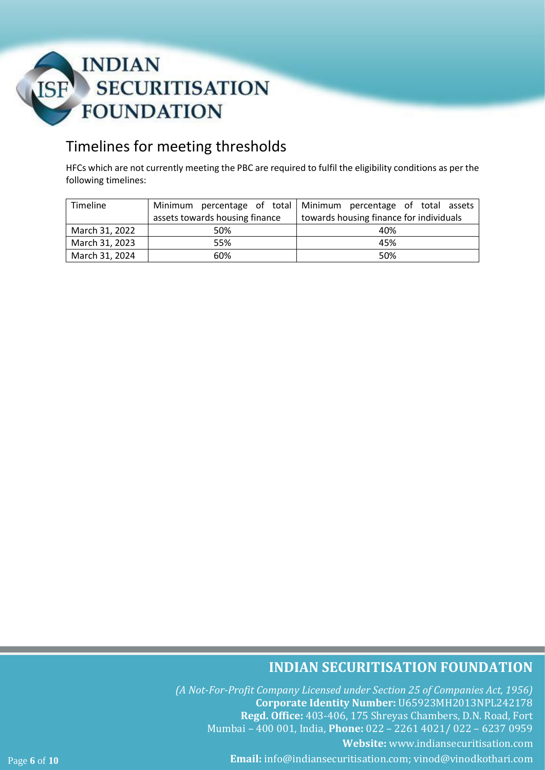

## Timelines for meeting thresholds

HFCs which are not currently meeting the PBC are required to fulfil the eligibility conditions as per the following timelines:

| Timeline       |                                | Minimum percentage of total Minimum percentage of total assets |
|----------------|--------------------------------|----------------------------------------------------------------|
|                | assets towards housing finance | towards housing finance for individuals                        |
| March 31, 2022 | 50%                            | 40%                                                            |
| March 31, 2023 | 55%                            | 45%                                                            |
| March 31, 2024 | 60%                            | 50%                                                            |

## **INDIAN SECURITISATION FOUNDATION**

*(A Not-For-Profit Company Licensed under Section 25 of Companies Act, 1956)*  **Corporate Identity Number:** U65923MH2013NPL242178 **Regd. Office:** 403-406, 175 Shreyas Chambers, D.N. Road, Fort Mumbai – 400 001, India, **Phone:** 022 – 2261 4021/ 022 – 6237 0959 **Website:** [www.indiansecuritisation.com](http://www.indiansecuritisation.com/) Page **6** of **10 Email:** info@indiansecuritisation.com; [vinod@vinodkothari.com](mailto:vinod@vinodkothari.com)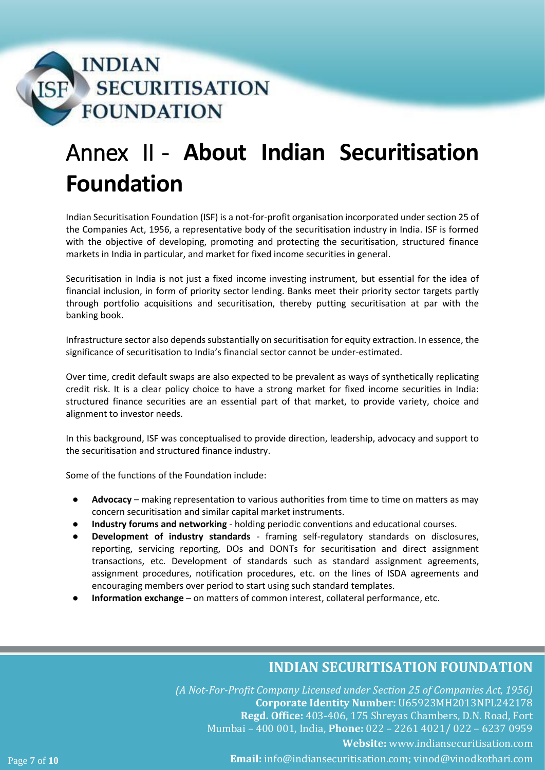

# Annex II - **About Indian Securitisation Foundation**

Indian Securitisation Foundation (ISF) is a not-for-profit organisation incorporated under section 25 of the Companies Act, 1956, a representative body of the securitisation industry in India. ISF is formed with the objective of developing, promoting and protecting the securitisation, structured finance markets in India in particular, and market for fixed income securities in general.

Securitisation in India is not just a fixed income investing instrument, but essential for the idea of financial inclusion, in form of priority sector lending. Banks meet their priority sector targets partly through portfolio acquisitions and securitisation, thereby putting securitisation at par with the banking book.

Infrastructure sector also depends substantially on securitisation for equity extraction. In essence, the significance of securitisation to India's financial sector cannot be under-estimated.

Over time, credit default swaps are also expected to be prevalent as ways of synthetically replicating credit risk. It is a clear policy choice to have a strong market for fixed income securities in India: structured finance securities are an essential part of that market, to provide variety, choice and alignment to investor needs.

In this background, ISF was conceptualised to provide direction, leadership, advocacy and support to the securitisation and structured finance industry.

Some of the functions of the Foundation include:

- Advocacy making representation to various authorities from time to time on matters as may concern securitisation and similar capital market instruments.
- **Industry forums and networking** holding periodic conventions and educational courses.
- **Development of industry standards** framing self-regulatory standards on disclosures, reporting, servicing reporting, DOs and DONTs for securitisation and direct assignment transactions, etc. Development of standards such as standard assignment agreements, assignment procedures, notification procedures, etc. on the lines of ISDA agreements and encouraging members over period to start using such standard templates.
- Information exchange on matters of common interest, collateral performance, etc.

### **INDIAN SECURITISATION FOUNDATION**

*(A Not-For-Profit Company Licensed under Section 25 of Companies Act, 1956)*  **Corporate Identity Number:** U65923MH2013NPL242178 **Regd. Office:** 403-406, 175 Shreyas Chambers, D.N. Road, Fort Mumbai – 400 001, India, **Phone:** 022 – 2261 4021/ 022 – 6237 0959 **Website:** [www.indiansecuritisation.com](http://www.indiansecuritisation.com/) Page **7** of **10 Email:** info@indiansecuritisation.com; [vinod@vinodkothari.com](mailto:vinod@vinodkothari.com)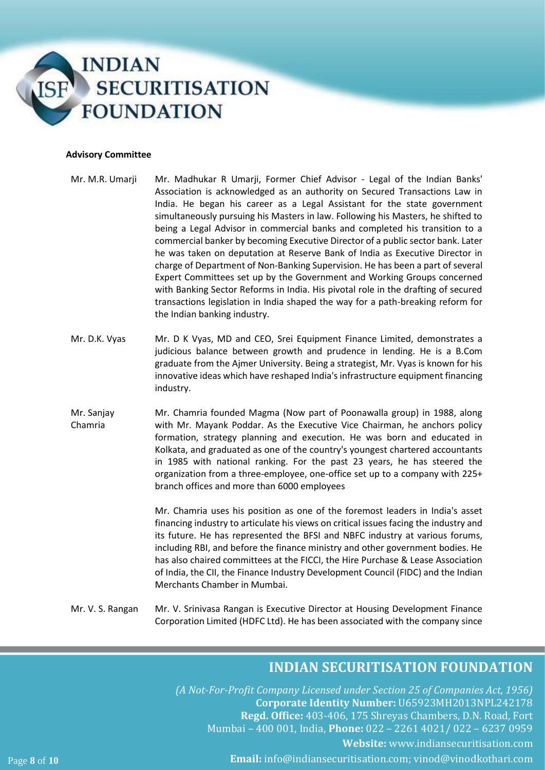

### **Advisory Committee**

- Mr. M.R. Umarji Mr. Madhukar R Umarji, Former Chief Advisor Legal of the Indian Banks' Association is acknowledged as an authority on Secured Transactions Law in India. He began his career as a Legal Assistant for the state government simultaneously pursuing his Masters in law. Following his Masters, he shifted to being a Legal Advisor in commercial banks and completed his transition to a commercial banker by becoming Executive Director of a public sector bank. Later he was taken on deputation at Reserve Bank of India as Executive Director in charge of Department of Non-Banking Supervision. He has been a part of several Expert Committees set up by the Government and Working Groups concerned with Banking Sector Reforms in India. His pivotal role in the drafting of secured transactions legislation in India shaped the way for a path-breaking reform for the Indian banking industry.
- Mr. D.K. Vyas Mr. D K Vyas, MD and CEO, Srei Equipment Finance Limited, demonstrates a judicious balance between growth and prudence in lending. He is a B.Com graduate from the Ajmer University. Being a strategist, Mr. Vyas is known for his innovative ideas which have reshaped India's infrastructure equipment financing industry.
- Mr. Sanjay Chamria Mr. Chamria founded Magma (Now part of Poonawalla group) in 1988, along with Mr. Mayank Poddar. As the Executive Vice Chairman, he anchors policy formation, strategy planning and execution. He was born and educated in Kolkata, and graduated as one of the country's youngest chartered accountants in 1985 with national ranking. For the past 23 years, he has steered the organization from a three-employee, one-office set up to a company with 225+ branch offices and more than 6000 employees

Mr. Chamria uses his position as one of the foremost leaders in India's asset financing industry to articulate his views on critical issues facing the industry and its future. He has represented the BFSI and NBFC industry at various forums, including RBI, and before the finance ministry and other government bodies. He has also chaired committees at the FICCI, the Hire Purchase & Lease Association of India, the CII, the Finance Industry Development Council (FIDC) and the Indian Merchants Chamber in Mumbai.

Mr. V. S. Rangan Mr. V. Srinivasa Rangan is Executive Director at Housing Development Finance Corporation Limited (HDFC Ltd). He has been associated with the company since

### **INDIAN SECURITISATION FOUNDATION**

*(A Not-For-Profit Company Licensed under Section 25 of Companies Act, 1956)*  **Corporate Identity Number:** U65923MH2013NPL242178 **Regd. Office:** 403-406, 175 Shreyas Chambers, D.N. Road, Fort Mumbai – 400 001, India, **Phone:** 022 – 2261 4021/ 022 – 6237 0959 **Website:** [www.indiansecuritisation.com](http://www.indiansecuritisation.com/) Page **8** of **10 Email:** info@indiansecuritisation.com; [vinod@vinodkothari.com](mailto:vinod@vinodkothari.com)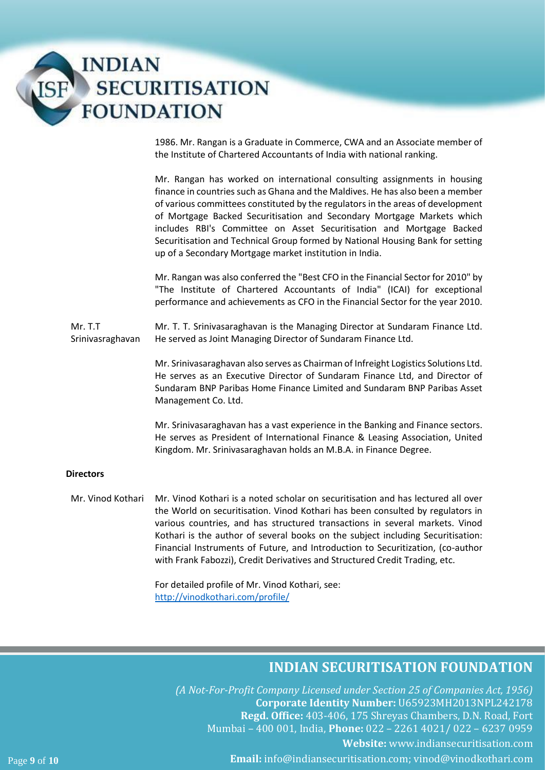

1986. Mr. Rangan is a Graduate in Commerce, CWA and an Associate member of the Institute of Chartered Accountants of India with national ranking.

Mr. Rangan has worked on international consulting assignments in housing finance in countries such as Ghana and the Maldives. He has also been a member of various committees constituted by the regulators in the areas of development of Mortgage Backed Securitisation and Secondary Mortgage Markets which includes RBI's Committee on Asset Securitisation and Mortgage Backed Securitisation and Technical Group formed by National Housing Bank for setting up of a Secondary Mortgage market institution in India.

Mr. Rangan was also conferred the "Best CFO in the Financial Sector for 2010" by "The Institute of Chartered Accountants of India" (ICAI) for exceptional performance and achievements as CFO in the Financial Sector for the year 2010.

Mr. T.T Srinivasraghavan Mr. T. T. Srinivasaraghavan is the Managing Director at Sundaram Finance Ltd. He served as Joint Managing Director of Sundaram Finance Ltd.

> Mr. Srinivasaraghavan also serves as Chairman of Infreight Logistics Solutions Ltd. He serves as an Executive Director of Sundaram Finance Ltd, and Director of Sundaram BNP Paribas Home Finance Limited and Sundaram BNP Paribas Asset Management Co. Ltd.

> Mr. Srinivasaraghavan has a vast experience in the Banking and Finance sectors. He serves as President of International Finance & Leasing Association, United Kingdom. Mr. Srinivasaraghavan holds an M.B.A. in Finance Degree.

### **Directors**

Mr. Vinod Kothari Mr. Vinod Kothari is a noted scholar on securitisation and has lectured all over the World on securitisation. Vinod Kothari has been consulted by regulators in various countries, and has structured transactions in several markets. Vinod Kothari is the author of several books on the subject including Securitisation: Financial Instruments of Future, and Introduction to Securitization, (co-author with Frank Fabozzi), Credit Derivatives and Structured Credit Trading, etc.

> For detailed profile of Mr. Vinod Kothari, see: <http://vinodkothari.com/profile/>

### **INDIAN SECURITISATION FOUNDATION**

*(A Not-For-Profit Company Licensed under Section 25 of Companies Act, 1956)*  **Corporate Identity Number:** U65923MH2013NPL242178 **Regd. Office:** 403-406, 175 Shreyas Chambers, D.N. Road, Fort Mumbai – 400 001, India, **Phone:** 022 – 2261 4021/ 022 – 6237 0959 **Website:** [www.indiansecuritisation.com](http://www.indiansecuritisation.com/) Page **9** of **10 Email:** info@indiansecuritisation.com; [vinod@vinodkothari.com](mailto:vinod@vinodkothari.com)